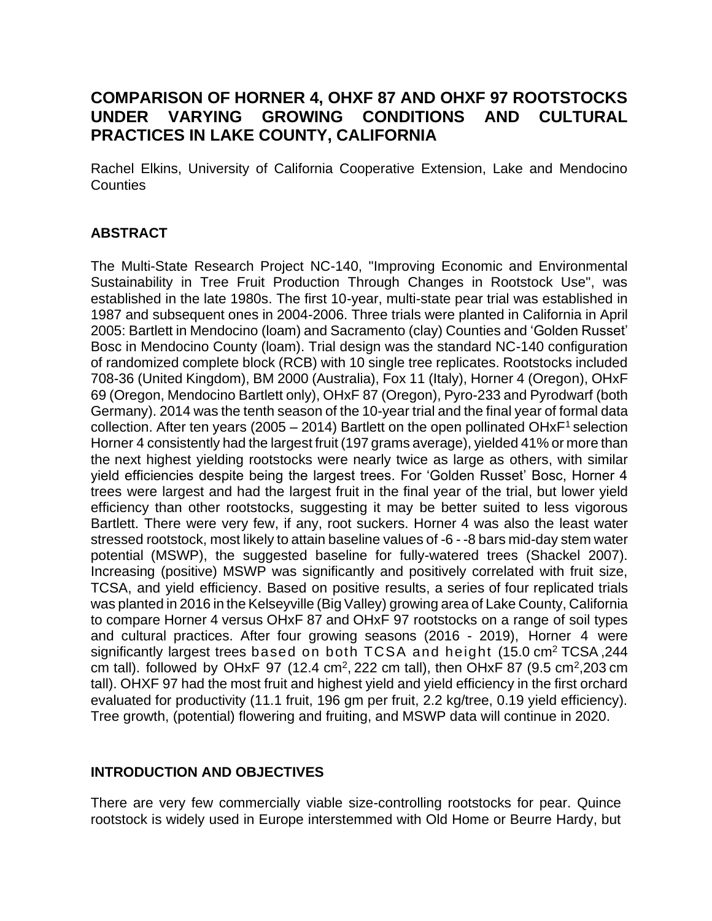# **COMPARISON OF HORNER 4, OHXF 87 AND OHXF 97 ROOTSTOCKS UNDER VARYING GROWING CONDITIONS AND CULTURAL PRACTICES IN LAKE COUNTY, CALIFORNIA**

Rachel Elkins, University of California Cooperative Extension, Lake and Mendocino **Counties** 

## **ABSTRACT**

The Multi-State Research Project NC-140, "Improving Economic and Environmental Sustainability in Tree Fruit Production Through Changes in Rootstock Use", was established in the late 1980s. The first 10-year, multi-state pear trial was established in 1987 and subsequent ones in 2004-2006. Three trials were planted in California in April 2005: Bartlett in Mendocino (loam) and Sacramento (clay) Counties and 'Golden Russet' Bosc in Mendocino County (loam). Trial design was the standard NC-140 configuration of randomized complete block (RCB) with 10 single tree replicates. Rootstocks included 708-36 (United Kingdom), BM 2000 (Australia), Fox 11 (Italy), Horner 4 (Oregon), OHxF 69 (Oregon, Mendocino Bartlett only), OHxF 87 (Oregon), Pyro-233 and Pyrodwarf (both Germany). 2014 was the tenth season of the 10-year trial and the final year of formal data collection. After ten years (2005 – 2014) Bartlett on the open pollinated OH $xF<sup>1</sup>$  selection Horner 4 consistently had the largest fruit (197 grams average), yielded 41% or more than the next highest yielding rootstocks were nearly twice as large as others, with similar yield efficiencies despite being the largest trees. For 'Golden Russet' Bosc, Horner 4 trees were largest and had the largest fruit in the final year of the trial, but lower yield efficiency than other rootstocks, suggesting it may be better suited to less vigorous Bartlett. There were very few, if any, root suckers. Horner 4 was also the least water stressed rootstock, most likely to attain baseline values of -6 - -8 bars mid-day stem water potential (MSWP), the suggested baseline for fully-watered trees (Shackel 2007). Increasing (positive) MSWP was significantly and positively correlated with fruit size, TCSA, and yield efficiency. Based on positive results, a series of four replicated trials was planted in 2016 in the Kelseyville (Big Valley) growing area of Lake County, California to compare Horner 4 versus OHxF 87 and OHxF 97 rootstocks on a range of soil types and cultural practices. After four growing seasons (2016 - 2019), Horner 4 were significantly largest trees based on both TCSA and height (15.0 cm<sup>2</sup> TCSA, 244 cm tall). followed by OHxF 97 (12.4 cm<sup>2</sup>, 222 cm tall), then OHxF 87 (9.5 cm<sup>2</sup>, 203 cm tall). OHXF 97 had the most fruit and highest yield and yield efficiency in the first orchard evaluated for productivity (11.1 fruit, 196 gm per fruit, 2.2 kg/tree, 0.19 yield efficiency). Tree growth, (potential) flowering and fruiting, and MSWP data will continue in 2020.

## **INTRODUCTION AND OBJECTIVES**

There are very few commercially viable size-controlling rootstocks for pear. Quince rootstock is widely used in Europe interstemmed with Old Home or Beurre Hardy, but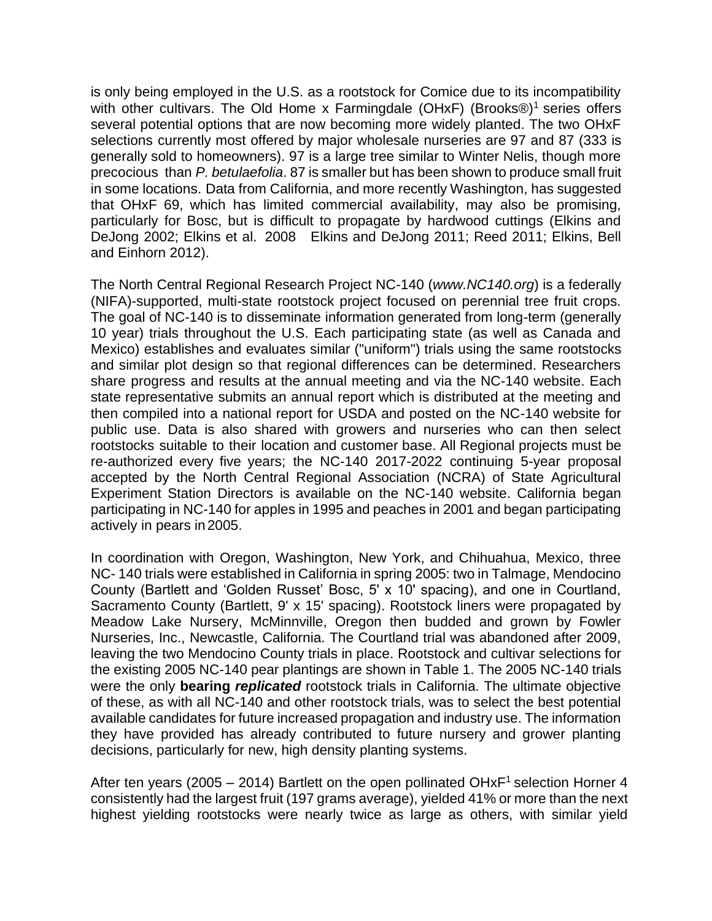is only being employed in the U.S. as a rootstock for Comice due to its incompatibility with other cultivars. The Old Home x Farmingdale (OHxF) (Brooks<sup>®)1</sup> series offers several potential options that are now becoming more widely planted. The two OHxF selections currently most offered by major wholesale nurseries are 97 and 87 (333 is generally sold to homeowners). 97 is a large tree similar to Winter Nelis, though more precocious than *P. betulaefolia*. 87 is smaller but has been shown to produce small fruit in some locations. Data from California, and more recently Washington, has suggested that OHxF 69, which has limited commercial availability, may also be promising, particularly for Bosc, but is difficult to propagate by hardwood cuttings (Elkins and DeJong 2002; Elkins et al. 2008 Elkins and DeJong 2011; Reed 2011; Elkins, Bell and Einhorn 2012).

The North Central Regional Research Project NC-140 (*www.NC140.org*) is a federally (NIFA)-supported, multi-state rootstock project focused on perennial tree fruit crops. The goal of NC-140 is to disseminate information generated from long-term (generally 10 year) trials throughout the U.S. Each participating state (as well as Canada and Mexico) establishes and evaluates similar ("uniform") trials using the same rootstocks and similar plot design so that regional differences can be determined. Researchers share progress and results at the annual meeting and via the NC-140 website. Each state representative submits an annual report which is distributed at the meeting and then compiled into a national report for USDA and posted on the NC-140 website for public use. Data is also shared with growers and nurseries who can then select rootstocks suitable to their location and customer base. All Regional projects must be re-authorized every five years; the NC-140 2017-2022 continuing 5-year proposal accepted by the North Central Regional Association (NCRA) of State Agricultural Experiment Station Directors is available on the NC-140 website. California began participating in NC-140 for apples in 1995 and peaches in 2001 and began participating actively in pears in2005.

In coordination with Oregon, Washington, New York, and Chihuahua, Mexico, three NC- 140 trials were established in California in spring 2005: two in Talmage, Mendocino County (Bartlett and 'Golden Russet' Bosc, 5' x 10' spacing), and one in Courtland, Sacramento County (Bartlett, 9' x 15' spacing). Rootstock liners were propagated by Meadow Lake Nursery, McMinnville, Oregon then budded and grown by Fowler Nurseries, Inc., Newcastle, California. The Courtland trial was abandoned after 2009, leaving the two Mendocino County trials in place. Rootstock and cultivar selections for the existing 2005 NC-140 pear plantings are shown in Table 1. The 2005 NC-140 trials were the only **bearing** *replicated* rootstock trials in California. The ultimate objective of these, as with all NC-140 and other rootstock trials, was to select the best potential available candidates for future increased propagation and industry use. The information they have provided has already contributed to future nursery and grower planting decisions, particularly for new, high density planting systems.

After ten years (2005 – 2014) Bartlett on the open pollinated OHxF<sup>1</sup> selection Horner 4 consistently had the largest fruit (197 grams average), yielded 41% or more than the next highest yielding rootstocks were nearly twice as large as others, with similar yield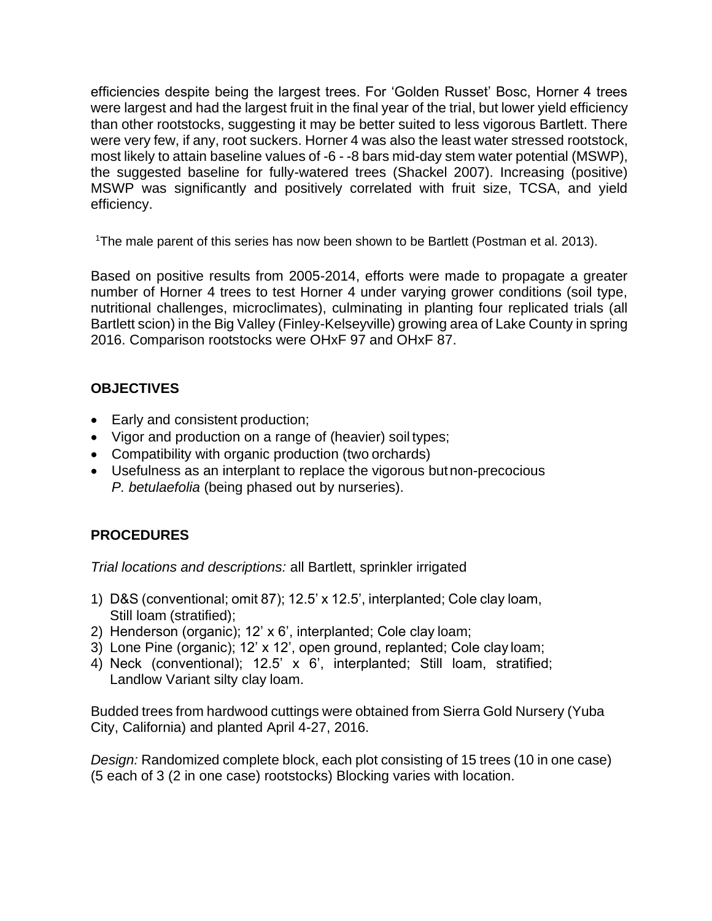efficiencies despite being the largest trees. For 'Golden Russet' Bosc, Horner 4 trees were largest and had the largest fruit in the final year of the trial, but lower yield efficiency than other rootstocks, suggesting it may be better suited to less vigorous Bartlett. There were very few, if any, root suckers. Horner 4 was also the least water stressed rootstock, most likely to attain baseline values of -6 - -8 bars mid-day stem water potential (MSWP), the suggested baseline for fully-watered trees (Shackel 2007). Increasing (positive) MSWP was significantly and positively correlated with fruit size, TCSA, and yield efficiency.

<sup>1</sup>The male parent of this series has now been shown to be Bartlett (Postman et al. 2013).

Based on positive results from 2005-2014, efforts were made to propagate a greater number of Horner 4 trees to test Horner 4 under varying grower conditions (soil type, nutritional challenges, microclimates), culminating in planting four replicated trials (all Bartlett scion) in the Big Valley (Finley-Kelseyville) growing area of Lake County in spring 2016. Comparison rootstocks were OHxF 97 and OHxF 87.

### **OBJECTIVES**

- Early and consistent production;
- Vigor and production on a range of (heavier) soil types;
- Compatibility with organic production (two orchards)
- Usefulness as an interplant to replace the vigorous butnon-precocious *P. betulaefolia* (being phased out by nurseries).

## **PROCEDURES**

*Trial locations and descriptions:* all Bartlett, sprinkler irrigated

- 1) D&S (conventional; omit 87); 12.5' x 12.5', interplanted; Cole clay loam, Still loam (stratified);
- 2) Henderson (organic); 12' x 6', interplanted; Cole clay loam;
- 3) Lone Pine (organic); 12' x 12', open ground, replanted; Cole clay loam;
- 4) Neck (conventional); 12.5' x 6', interplanted; Still loam, stratified; Landlow Variant silty clay loam.

Budded trees from hardwood cuttings were obtained from Sierra Gold Nursery (Yuba City, California) and planted April 4-27, 2016.

*Design:* Randomized complete block, each plot consisting of 15 trees (10 in one case) (5 each of 3 (2 in one case) rootstocks) Blocking varies with location.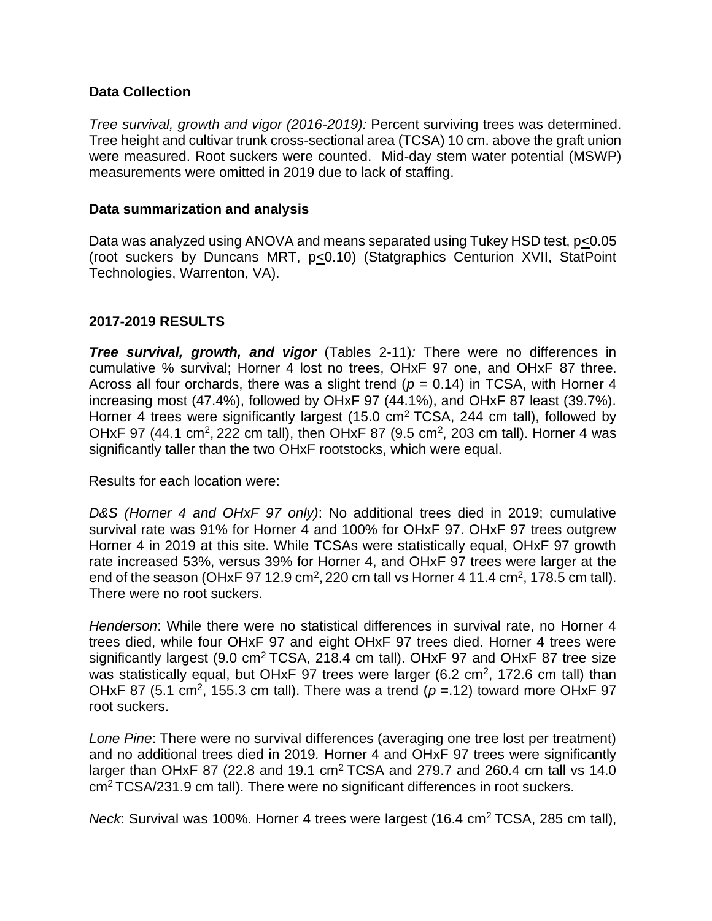### **Data Collection**

*Tree survival, growth and vigor (2016-2019):* Percent surviving trees was determined. Tree height and cultivar trunk cross-sectional area (TCSA) 10 cm. above the graft union were measured. Root suckers were counted. Mid-day stem water potential (MSWP) measurements were omitted in 2019 due to lack of staffing.

#### **Data summarization and analysis**

Data was analyzed using ANOVA and means separated using Tukey HSD test, p<0.05 (root suckers by Duncans MRT, p<0.10) (Statgraphics Centurion XVII, StatPoint Technologies, Warrenton, VA).

### **2017-2019 RESULTS**

*Tree survival, growth, and vigor* (Tables 2-11)*:* There were no differences in cumulative % survival; Horner 4 lost no trees, OHxF 97 one, and OHxF 87 three. Across all four orchards, there was a slight trend ( $p = 0.14$ ) in TCSA, with Horner 4 increasing most (47.4%), followed by OHxF 97 (44.1%), and OHxF 87 least (39.7%). Horner 4 trees were significantly largest (15.0  $\text{cm}^2$  TCSA, 244 cm tall), followed by OHxF 97 (44.1 cm<sup>2</sup>, 222 cm tall), then OHxF 87 (9.5 cm<sup>2</sup>, 203 cm tall). Horner 4 was significantly taller than the two OHxF rootstocks, which were equal.

Results for each location were:

*D&S (Horner 4 and OHxF 97 only)*: No additional trees died in 2019; cumulative survival rate was 91% for Horner 4 and 100% for OHxF 97. OHxF 97 trees outgrew Horner 4 in 2019 at this site. While TCSAs were statistically equal, OHxF 97 growth rate increased 53%, versus 39% for Horner 4, and OHxF 97 trees were larger at the end of the season (OHxF 97 12.9 cm<sup>2</sup>, 220 cm tall vs Horner 4 11.4 cm<sup>2</sup>, 178.5 cm tall). There were no root suckers.

*Henderson*: While there were no statistical differences in survival rate, no Horner 4 trees died, while four OHxF 97 and eight OHxF 97 trees died. Horner 4 trees were significantly largest (9.0  $\text{cm}^2$  TCSA, 218.4 cm tall). OHxF 97 and OHxF 87 tree size was statistically equal, but OHxF 97 trees were larger (6.2 cm<sup>2</sup>, 172.6 cm tall) than OHxF 87 (5.1 cm<sup>2</sup>, 155.3 cm tall). There was a trend ( $p = 12$ ) toward more OHxF 97 root suckers.

*Lone Pine*: There were no survival differences (averaging one tree lost per treatment) and no additional trees died in 2019*.* Horner 4 and OHxF 97 trees were significantly larger than OHxF 87 (22.8 and 19.1  $\text{cm}^2$  TCSA and 279.7 and 260.4 cm tall vs 14.0 cm<sup>2</sup>TCSA/231.9 cm tall). There were no significant differences in root suckers.

*Neck*: Survival was 100%. Horner 4 trees were largest (16.4 cm<sup>2</sup> TCSA, 285 cm tall),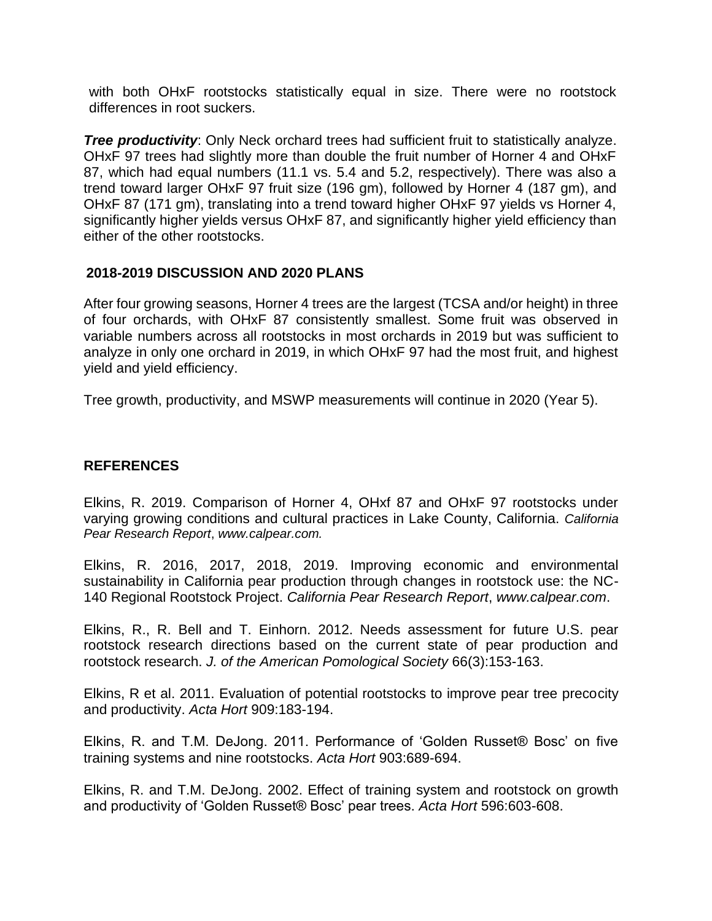with both OHxF rootstocks statistically equal in size. There were no rootstock differences in root suckers.

**Tree productivity**: Only Neck orchard trees had sufficient fruit to statistically analyze. OHxF 97 trees had slightly more than double the fruit number of Horner 4 and OHxF 87, which had equal numbers (11.1 vs. 5.4 and 5.2, respectively). There was also a trend toward larger OHxF 97 fruit size (196 gm), followed by Horner 4 (187 gm), and OHxF 87 (171 gm), translating into a trend toward higher OHxF 97 yields vs Horner 4, significantly higher yields versus OHxF 87, and significantly higher yield efficiency than either of the other rootstocks.

### **2018-2019 DISCUSSION AND 2020 PLANS**

After four growing seasons, Horner 4 trees are the largest (TCSA and/or height) in three of four orchards, with OHxF 87 consistently smallest. Some fruit was observed in variable numbers across all rootstocks in most orchards in 2019 but was sufficient to analyze in only one orchard in 2019, in which OHxF 97 had the most fruit, and highest yield and yield efficiency.

Tree growth, productivity, and MSWP measurements will continue in 2020 (Year 5).

## **REFERENCES**

Elkins, R. 2019. Comparison of Horner 4, OHxf 87 and OHxF 97 rootstocks under varying growing conditions and cultural practices in Lake County, California. *California Pear Research Report*, *www.calpear.com.*

Elkins, R. 2016, 2017, 2018, 2019. Improving economic and environmental sustainability in California pear production through changes in rootstock use: the NC-140 Regional Rootstock Project. *California Pear Research Report*, *www.calpear.com*.

Elkins, R., R. Bell and T. Einhorn. 2012. Needs assessment for future U.S. pear rootstock research directions based on the current state of pear production and rootstock research. *J. of the American Pomological Society* 66(3):153-163.

Elkins, R et al. 2011. Evaluation of potential rootstocks to improve pear tree precocity and productivity. *Acta Hort* 909:183-194.

Elkins, R. and T.M. DeJong. 2011. Performance of 'Golden Russet® Bosc' on five training systems and nine rootstocks. *Acta Hort* 903:689-694.

Elkins, R. and T.M. DeJong. 2002. Effect of training system and rootstock on growth and productivity of 'Golden Russet® Bosc' pear trees. *Acta Hort* 596:603-608.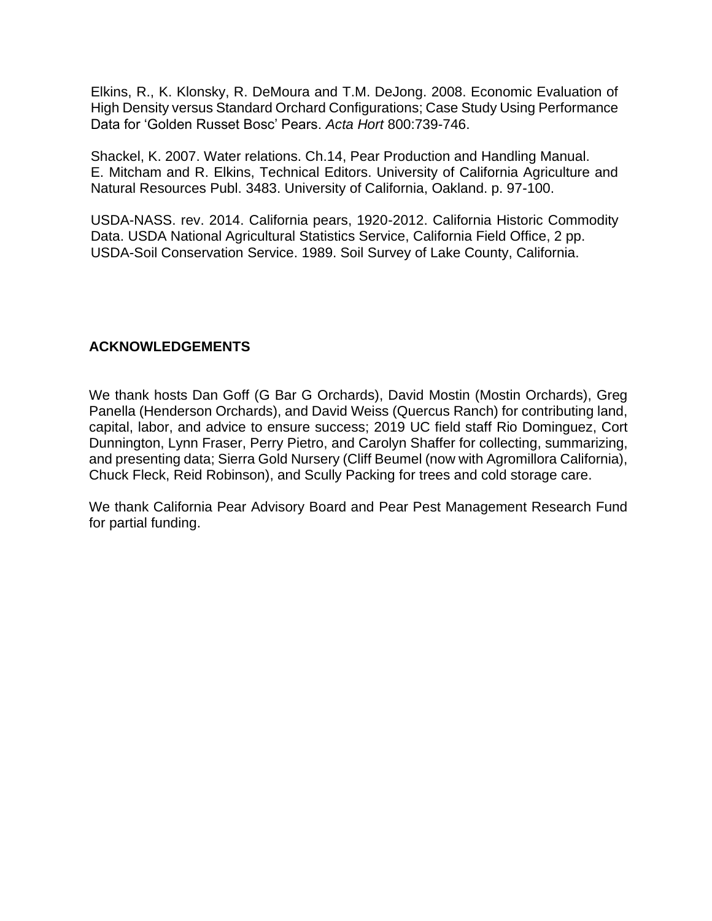Elkins, R., K. Klonsky, R. DeMoura and T.M. DeJong. 2008. Economic Evaluation of High Density versus Standard Orchard Configurations; Case Study Using Performance Data for 'Golden Russet Bosc' Pears. *Acta Hort* 800:739-746.

Shackel, K. 2007. Water relations. Ch.14, Pear Production and Handling Manual. E. Mitcham and R. Elkins, Technical Editors. University of California Agriculture and Natural Resources Publ. 3483. University of California, Oakland. p. 97-100.

USDA-NASS. rev. 2014. California pears, 1920-2012. California Historic Commodity Data. USDA National Agricultural Statistics Service, California Field Office, 2 pp. USDA-Soil Conservation Service. 1989. Soil Survey of Lake County, California.

### **ACKNOWLEDGEMENTS**

We thank hosts Dan Goff (G Bar G Orchards), David Mostin (Mostin Orchards), Greg Panella (Henderson Orchards), and David Weiss (Quercus Ranch) for contributing land, capital, labor, and advice to ensure success; 2019 UC field staff Rio Dominguez, Cort Dunnington, Lynn Fraser, Perry Pietro, and Carolyn Shaffer for collecting, summarizing, and presenting data; Sierra Gold Nursery (Cliff Beumel (now with Agromillora California), Chuck Fleck, Reid Robinson), and Scully Packing for trees and cold storage care.

We thank California Pear Advisory Board and Pear Pest Management Research Fund for partial funding.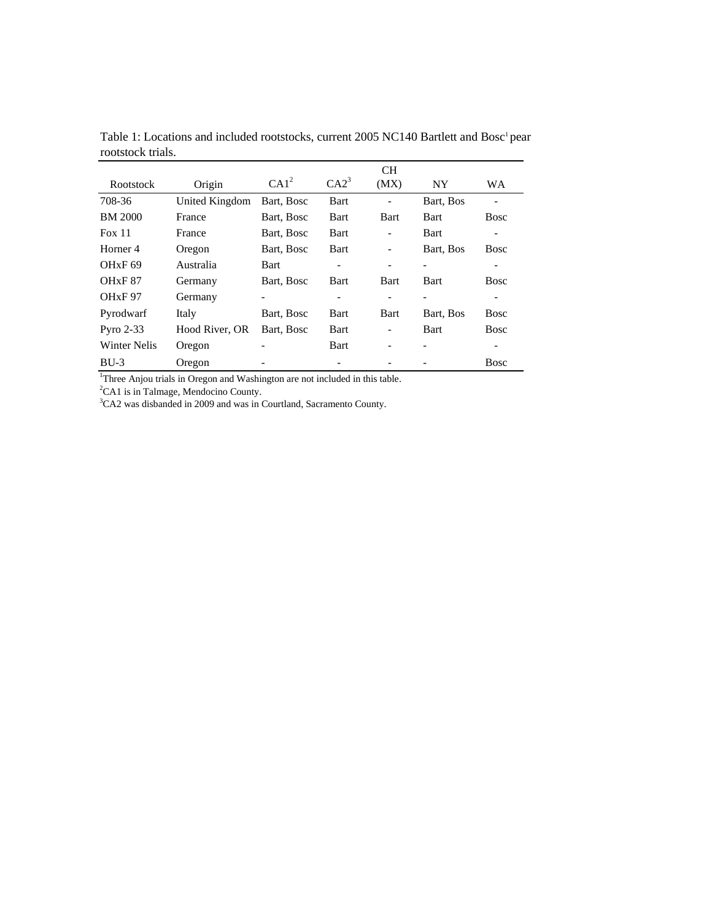|                                 |                       |                  |                  | <b>CH</b>                |             |                          |
|---------------------------------|-----------------------|------------------|------------------|--------------------------|-------------|--------------------------|
| Rootstock                       | Origin                | CA1 <sup>2</sup> | CA2 <sup>3</sup> | (MX)                     | NY.         | <b>WA</b>                |
| 708-36                          | <b>United Kingdom</b> | Bart, Bosc       | Bart             |                          | Bart, Bos   | $\overline{\phantom{a}}$ |
| <b>BM 2000</b>                  | France                | Bart, Bosc       | Bart             | <b>Bart</b>              | <b>Bart</b> | <b>Bosc</b>              |
| Fox 11                          | France                | Bart, Bosc       | Bart             | $\overline{\phantom{0}}$ | Bart        |                          |
| Horner 4                        | Oregon                | Bart, Bosc       | <b>Bart</b>      | $\overline{\phantom{0}}$ | Bart, Bos   | <b>Bosc</b>              |
| OHxF69                          | Australia             | <b>Bart</b>      |                  |                          |             |                          |
| OH <sub>x</sub> F <sub>87</sub> | Germany               | Bart, Bosc       | <b>Bart</b>      | Bart                     | <b>Bart</b> | <b>Bosc</b>              |
| OH <sub>x</sub> F <sub>97</sub> | Germany               | -                |                  |                          |             |                          |
| Pyrodwarf                       | Italy                 | Bart, Bosc       | <b>Bart</b>      | <b>Bart</b>              | Bart, Bos   | <b>Bosc</b>              |
| Pyro $2-33$                     | Hood River, OR        | Bart, Bosc       | Bart             | $\overline{\phantom{0}}$ | Bart        | Bosc                     |
| <b>Winter Nelis</b>             | Oregon                |                  | Bart             |                          |             |                          |
| $BU-3$                          | Oregon                |                  |                  |                          |             | <b>Bosc</b>              |

Table 1: Locations and included rootstocks, current 2005 NC140 Bartlett and Bosc<sup>1</sup> pear rootstock trials.

<sup>1</sup>Three Anjou trials in Oregon and Washington are not included in this table.

 ${}^{2}$ CA1 is in Talmage, Mendocino County.

 $3$ CA2 was disbanded in 2009 and was in Courtland, Sacramento County.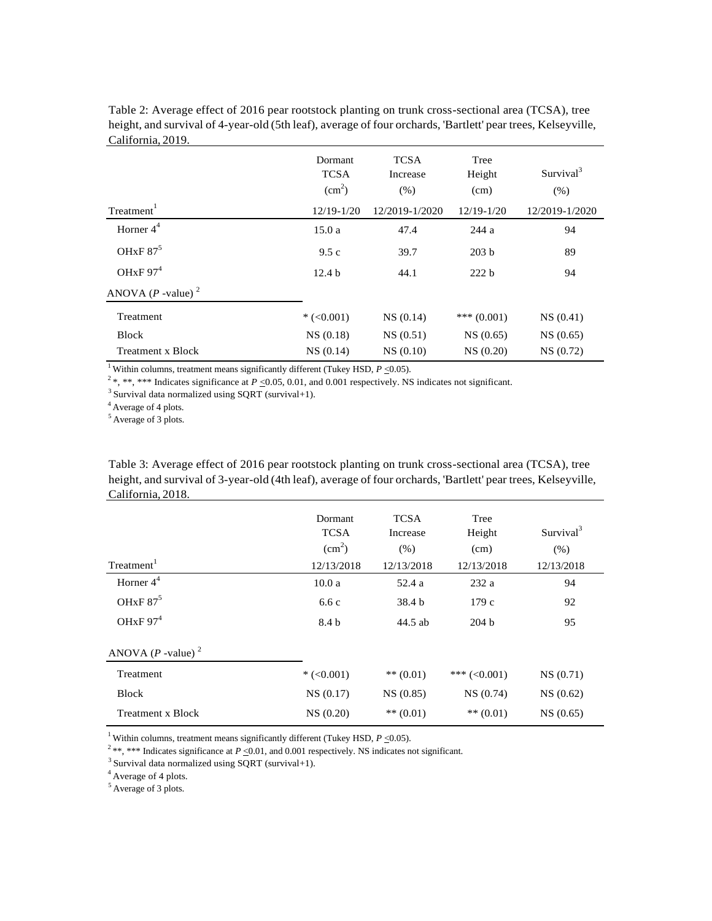|                                 | Dormant<br><b>TCSA</b><br>(cm <sup>2</sup> ) | <b>TCSA</b><br>Increase<br>(% ) | Tree<br>Height<br>(cm) | Survival <sup>3</sup><br>(% ) |
|---------------------------------|----------------------------------------------|---------------------------------|------------------------|-------------------------------|
| Treatment <sup>1</sup>          | $12/19 - 1/20$                               | 12/2019-1/2020                  | $12/19 - 1/20$         | 12/2019-1/2020                |
| Horner $4^4$                    | 15.0a                                        | 47.4                            | 244 a                  | 94                            |
| OH <sub>x</sub> F $87^5$        | 9.5c                                         | 39.7                            | 203 <sub>b</sub>       | 89                            |
| OH <sub>x</sub> F $974$         | 12.4 <sub>b</sub>                            | 44.1                            | 222 b                  | 94                            |
| ANOVA $(P$ -value) <sup>2</sup> |                                              |                                 |                        |                               |
| Treatment                       | $*(<0.001)$                                  | NS(0.14)                        | *** $(0.001)$          | NS(0.41)                      |
| <b>Block</b>                    | NS(0.18)                                     | NS(0.51)                        | NS(0.65)               | NS(0.65)                      |
| Treatment x Block               | NS(0.14)                                     | NS(0.10)                        | NS(0.20)               | NS(0.72)                      |

Table 2: Average effect of 2016 pear rootstock planting on trunk cross-sectional area (TCSA), tree height, and survival of 4-year-old (5th leaf), average of four orchards, 'Bartlett' pear trees, Kelseyville, California, 2019.

<sup>1</sup> Within columns, treatment means significantly different (Tukey HSD,  $P \le 0.05$ ).

 $2^*$ , \*\*, \*\*\* Indicates significance at  $P \le 0.05$ , 0.01, and 0.001 respectively. NS indicates not significant.

 $3$  Survival data normalized using SQRT (survival+1).

<sup>4</sup> Average of 4 plots.

<sup>5</sup> Average of 3 plots.

Table 3: Average effect of 2016 pear rootstock planting on trunk cross-sectional area (TCSA), tree height, and survival of 3-year-old (4th leaf), average of four orchards, 'Bartlett' pear trees, Kelseyville, California, 2018.

| Treatment <sup>1</sup>          | Dormant<br><b>TCSA</b><br>$\text{(cm}^2\text{)}$<br>12/13/2018 | <b>TCSA</b><br>Increase<br>(% )<br>12/13/2018 | Tree<br>Height<br>(cm)<br>12/13/2018 | Survival <sup>3</sup><br>(% )<br>12/13/2018 |
|---------------------------------|----------------------------------------------------------------|-----------------------------------------------|--------------------------------------|---------------------------------------------|
| Horner $4^4$                    | 10.0a                                                          | 52.4 a                                        | 232 a                                | 94                                          |
| OHxF $87^5$                     | 6.6c                                                           | 38.4 b                                        | 179c                                 | 92                                          |
| OH <sub>x</sub> F $974$         | 8.4 b                                                          | 44.5 ab                                       | 204 <sub>b</sub>                     | 95                                          |
| ANOVA $(P$ -value) <sup>2</sup> |                                                                |                                               |                                      |                                             |
| Treatment                       | $*(<0.001)$                                                    | $** (0.01)$                                   | *** $(<0.001)$                       | NS(0.71)                                    |
| <b>Block</b>                    | NS(0.17)                                                       | NS(0.85)                                      | NS(0.74)                             | NS(0.62)                                    |
| Treatment x Block               | NS(0.20)                                                       | $** (0.01)$                                   | $** (0.01)$                          | NS(0.65)                                    |

<sup>1</sup> Within columns, treatment means significantly different (Tukey HSD,  $P \le 0.05$ ).

<sup>2</sup>\*\*, \*\*\* Indicates significance at *P*  $\leq$ 0.01, and 0.001 respectively. NS indicates not significant.

 $3$  Survival data normalized using SQRT (survival+1).

<sup>4</sup> Average of 4 plots.

 $5$  Average of 3 plots.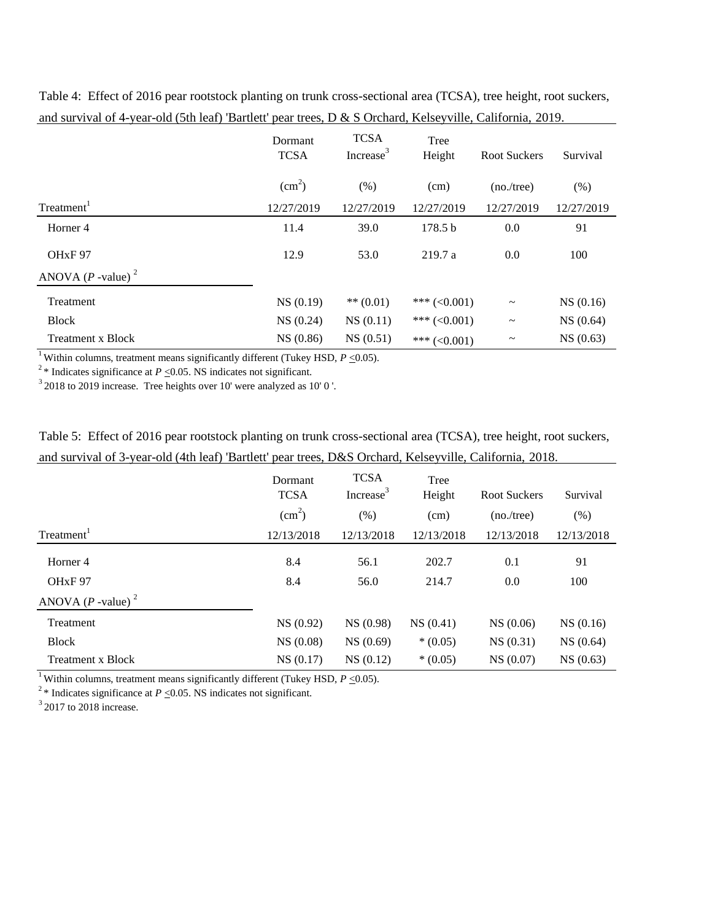|                                 | Dormant<br><b>TCSA</b> | <b>TCSA</b><br>Increase <sup>3</sup> | Tree<br>Height     | <b>Root Suckers</b>   | Survival   |
|---------------------------------|------------------------|--------------------------------------|--------------------|-----------------------|------------|
|                                 | (cm <sup>2</sup> )     | (% )                                 | (cm)               | (no./tree)            | (% )       |
| Treatment <sup>1</sup>          | 12/27/2019             | 12/27/2019                           | 12/27/2019         | 12/27/2019            | 12/27/2019 |
| Horner 4                        | 11.4                   | 39.0                                 | 178.5 <sub>b</sub> | 0.0                   | 91         |
| OH <sub>xF</sub> 97             | 12.9                   | 53.0                                 | 219.7a             | 0.0                   | 100        |
| ANOVA $(P$ -value) <sup>2</sup> |                        |                                      |                    |                       |            |
| Treatment                       | NS(0.19)               | ** $(0.01)$                          | *** $(<0.001)$     | $\thicksim$           | NS(0.16)   |
| <b>Block</b>                    | NS(0.24)               | NS(0.11)                             | *** $(<0.001)$     | $\thicksim$           | NS(0.64)   |
| <b>Treatment x Block</b>        | NS(0.86)               | NS(0.51)                             | *** $(<0.001)$     | $\tilde{\phantom{a}}$ | NS(0.63)   |

Table 4: Effect of 2016 pear rootstock planting on trunk cross-sectional area (TCSA), tree height, root suckers, and survival of 4-year-old (5th leaf) 'Bartlett' pear trees, D & S Orchard, Kelseyville, California, 2019.

<sup>1</sup> Within columns, treatment means significantly different (Tukey HSD,  $P \le 0.05$ ).

<sup>2</sup>\* Indicates significance at  $P \le 0.05$ . NS indicates not significant.

 $32018$  to 2019 increase. Tree heights over 10' were analyzed as 10' 0'.

|                                                                                                          |  |  |  | Table 5: Effect of 2016 pear rootstock planting on trunk cross-sectional area (TCSA), tree height, root suckers, |
|----------------------------------------------------------------------------------------------------------|--|--|--|------------------------------------------------------------------------------------------------------------------|
| and survival of 3-year-old (4th leaf) 'Bartlett' pear trees, D&S Orchard, Kelseyville, California, 2018. |  |  |  |                                                                                                                  |

|                                 | Dormant<br><b>TCSA</b> | <b>TCSA</b><br>Increase <sup>3</sup> | Tree<br>Height | Root Suckers | Survival   |
|---------------------------------|------------------------|--------------------------------------|----------------|--------------|------------|
|                                 | $\text{(cm}^2\text{)}$ | (% )                                 | (cm)           | (no./tree)   | (% )       |
| Treatment <sup>1</sup>          | 12/13/2018             | 12/13/2018                           | 12/13/2018     | 12/13/2018   | 12/13/2018 |
| Horner 4                        | 8.4                    | 56.1                                 | 202.7          | 0.1          | 91         |
| OH <sub>xF</sub> 97             | 8.4                    | 56.0                                 | 214.7          | 0.0          | 100        |
| ANOVA $(P$ -value) <sup>2</sup> |                        |                                      |                |              |            |
| Treatment                       | NS(0.92)               | NS (0.98)                            | NS(0.41)       | NS(0.06)     | NS(0.16)   |
| <b>Block</b>                    | NS(0.08)               | NS(0.69)                             | $*(0.05)$      | NS(0.31)     | NS(0.64)   |
| <b>Treatment x Block</b>        | NS(0.17)               | NS(0.12)                             | $*(0.05)$      | NS(0.07)     | NS(0.63)   |

<sup>1</sup> Within columns, treatment means significantly different (Tukey HSD,  $P \le 0.05$ ).

<sup>2</sup>\* Indicates significance at  $P \le 0.05$ . NS indicates not significant.

 $3$  2017 to 2018 increase.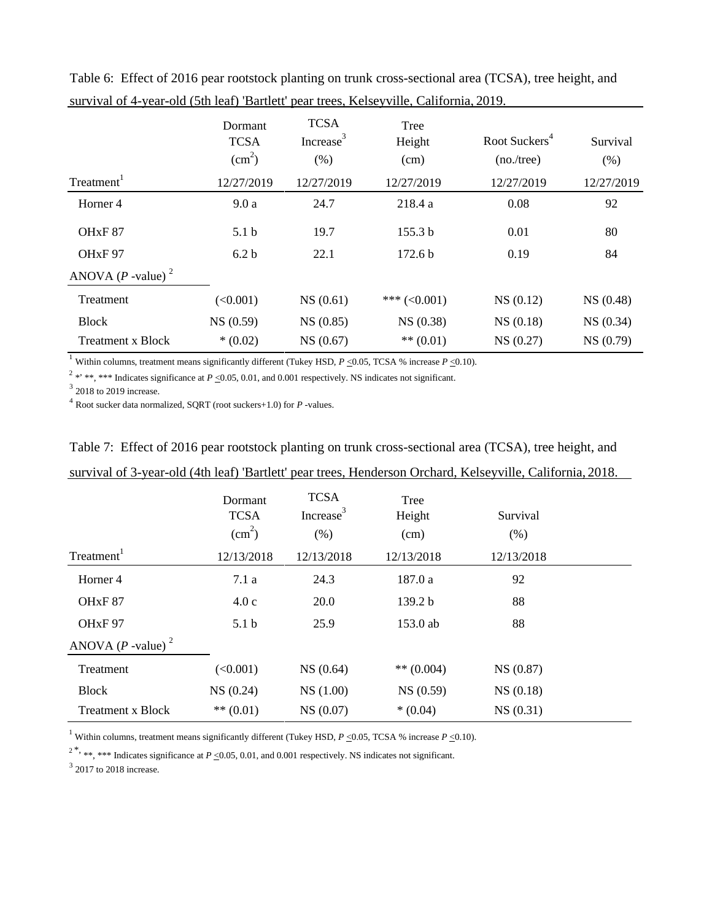|                                 | Dormant<br><b>TCSA</b><br>$\text{(cm}^2\text{)}$ | <b>TCSA</b><br>Increase <sup>3</sup><br>(% ) | Tree<br>Height<br>(cm) | Root Suckers <sup>4</sup><br>(no./tree) | Survival<br>(% ) |
|---------------------------------|--------------------------------------------------|----------------------------------------------|------------------------|-----------------------------------------|------------------|
| Treatment <sup>1</sup>          | 12/27/2019                                       | 12/27/2019                                   | 12/27/2019             | 12/27/2019                              | 12/27/2019       |
| Horner <sub>4</sub>             | 9.0a                                             | 24.7                                         | 218.4 a                | 0.08                                    | 92               |
| OH <sub>xF</sub> 87             | 5.1 <sub>b</sub>                                 | 19.7                                         | 155.3 b                | 0.01                                    | 80               |
| OHxF97                          | 6.2 <sub>b</sub>                                 | 22.1                                         | 172.6 <sub>b</sub>     | 0.19                                    | 84               |
| ANOVA $(P$ -value) <sup>2</sup> |                                                  |                                              |                        |                                         |                  |
| Treatment                       | (<0.001)                                         | NS(0.61)                                     | *** $(<0.001)$         | NS(0.12)                                | NS (0.48)        |
| <b>Block</b>                    | NS (0.59)                                        | NS(0.85)                                     | NS(0.38)               | NS(0.18)                                | NS(0.34)         |
| <b>Treatment x Block</b>        | $*(0.02)$                                        | NS(0.67)                                     | $** (0.01)$            | NS(0.27)                                | NS(0.79)         |

Table 6: Effect of 2016 pear rootstock planting on trunk cross-sectional area (TCSA), tree height, and survival of 4-year-old (5th leaf) 'Bartlett' pear trees, Kelseyville, California, 2019.

<sup>1</sup> Within columns, treatment means significantly different (Tukey HSD,  $P \le 0.05$ , TCSA % increase  $P \le 0.10$ ).

<sup>2</sup> \*' \*\*, \*\*\* Indicates significance at *P*  $\leq$ 0.05, 0.01, and 0.001 respectively. NS indicates not significant.

 $3$  2018 to 2019 increase.

4 Root sucker data normalized, SQRT (root suckers+1.0) for *P* -values.

|                                 | Dormant<br><b>TCSA</b><br>$\text{cm}^2$ ) | <b>TCSA</b><br>Increase <sup>3</sup><br>(% ) | Tree<br>Height<br>(cm) | Survival<br>(% ) |  |
|---------------------------------|-------------------------------------------|----------------------------------------------|------------------------|------------------|--|
| Treatment <sup>1</sup>          | 12/13/2018                                | 12/13/2018                                   | 12/13/2018             | 12/13/2018       |  |
| Horner <sub>4</sub>             | 7.1a                                      | 24.3                                         | 187.0 a                | 92               |  |
| OH <sub>xF</sub> 87             | 4.0c                                      | 20.0                                         | 139.2 b                | 88               |  |
| OH <sub>xF</sub> 97             | 5.1 <sub>b</sub>                          | 25.9                                         | 153.0 ab               | 88               |  |
| ANOVA $(P$ -value) <sup>2</sup> |                                           |                                              |                        |                  |  |
| Treatment                       | (<0.001)                                  | NS(0.64)                                     | ** $(0.004)$           | NS (0.87)        |  |
| <b>Block</b>                    | NS(0.24)                                  | NS(1.00)                                     | NS(0.59)               | NS(0.18)         |  |
| <b>Treatment x Block</b>        | $** (0.01)$                               | NS(0.07)                                     | $*(0.04)$              | NS(0.31)         |  |

survival of 3-year-old (4th leaf) 'Bartlett' pear trees, Henderson Orchard, Kelseyville, California, 2018.

Table 7: Effect of 2016 pear rootstock planting on trunk cross-sectional area (TCSA), tree height, and

<sup>1</sup> Within columns, treatment means significantly different (Tukey HSD,  $P \le 0.05$ , TCSA % increase  $P \le 0.10$ ).

<sup>2\*,</sup> \*\*, \*\*\* Indicates significance at *P*  $\leq$ 0.05, 0.01, and 0.001 respectively. NS indicates not significant.

 $3$  2017 to 2018 increase.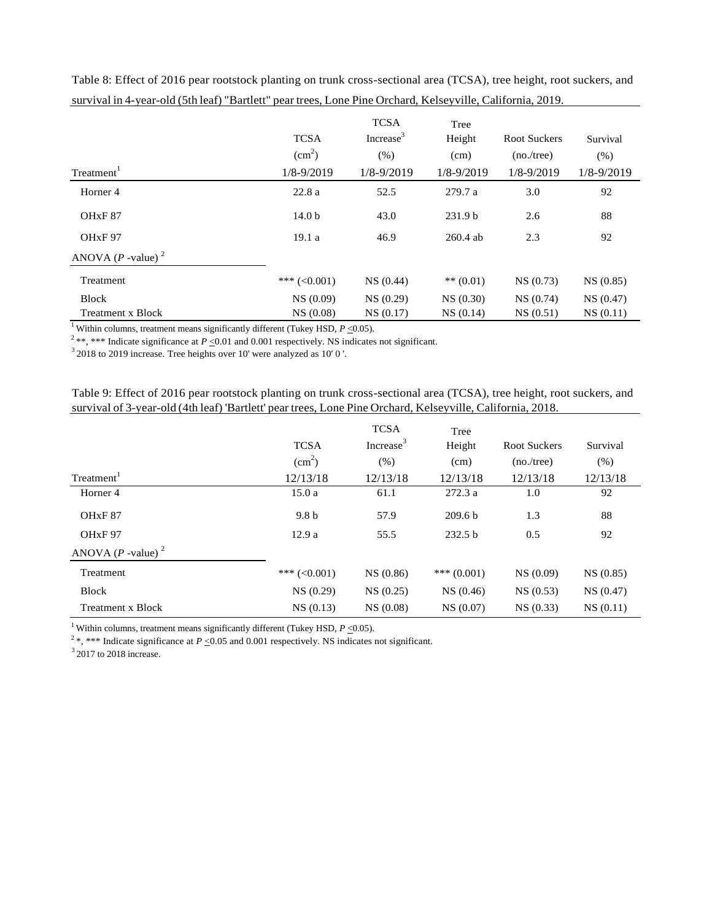| Treatment <sup>1</sup>          | <b>TCSA</b><br>$\text{(cm}^2\text{)}$<br>$1/8 - 9/2019$ | <b>TCSA</b><br>Increase <sup>3</sup><br>(% )<br>$1/8 - 9/2019$ | Tree<br>Height<br>(cm)<br>$1/8 - 9/2019$ | <b>Root Suckers</b><br>(no./tree)<br>1/8-9/2019 | Survival<br>(% )<br>$1/8 - 9/2019$ |
|---------------------------------|---------------------------------------------------------|----------------------------------------------------------------|------------------------------------------|-------------------------------------------------|------------------------------------|
| Horner 4                        | 22.8a                                                   | 52.5                                                           | 279.7 a                                  | 3.0                                             | 92                                 |
| OH <sub>xF</sub> 87             | 14.0 <sub>b</sub>                                       | 43.0                                                           | 231.9 <sub>b</sub>                       | 2.6                                             | 88                                 |
| OH <sub>x</sub> F <sub>97</sub> | 19.1a                                                   | 46.9                                                           | $260.4$ ab                               | 2.3                                             | 92                                 |
| ANOVA $(P$ -value) <sup>2</sup> |                                                         |                                                                |                                          |                                                 |                                    |
| Treatment                       | *** $(<0.001)$                                          | NS(0.44)                                                       | $** (0.01)$                              | NS(0.73)                                        | NS(0.85)                           |
| <b>Block</b>                    | NS(0.09)                                                | NS(0.29)                                                       | NS(0.30)                                 | NS(0.74)                                        | NS(0.47)                           |
| <b>Treatment x Block</b>        | NS(0.08)                                                | NS(0.17)                                                       | NS(0.14)                                 | NS(0.51)                                        | NS(0.11)                           |

Table 8: Effect of 2016 pear rootstock planting on trunk cross-sectional area (TCSA), tree height, root suckers, and survival in 4-year-old (5th leaf) "Bartlett" pear trees, Lone Pine Orchard, Kelseyville, California, 2019.

<sup>1</sup> Within columns, treatment means significantly different (Tukey HSD,  $P \le 0.05$ ).

<sup>2</sup> \*\*, \*\*\* Indicate significance at  $P \le 0.01$  and 0.001 respectively. NS indicates not significant.

 $\frac{3}{2}$  2018 to 2019 increase. Tree heights over 10' were analyzed as 10' 0'.

Table 9: Effect of 2016 pear rootstock planting on trunk cross-sectional area (TCSA), tree height, root suckers, and survival of 3-year-old (4th leaf) 'Bartlett' pear trees, Lone Pine Orchard, Kelseyville, California, 2018.

|                                 | <b>TCSA</b><br>$\text{(cm}^2\text{)}$ | <b>TCSA</b><br>Increase <sup>3</sup><br>(% ) | Tree<br>Height<br>(cm) | <b>Root Suckers</b><br>(no./tree) | Survival<br>(% ) |
|---------------------------------|---------------------------------------|----------------------------------------------|------------------------|-----------------------------------|------------------|
| Treatment <sup>1</sup>          | 12/13/18                              | 12/13/18                                     | 12/13/18               | 12/13/18                          | 12/13/18         |
| Horner 4                        | 15.0a                                 | 61.1                                         | 272.3a                 | 1.0                               | 92               |
| OH <sub>xF</sub> 87             | 9.8 <sub>b</sub>                      | 57.9                                         | 209.6 <sub>b</sub>     | 1.3                               | 88               |
| OH <sub>x</sub> F <sub>97</sub> | 12.9a                                 | 55.5                                         | 232.5 <sub>b</sub>     | 0.5                               | 92               |
| ANOVA $(P$ -value) <sup>2</sup> |                                       |                                              |                        |                                   |                  |
| Treatment                       | *** $(<0.001)$                        | NS(0.86)                                     | *** $(0.001)$          | NS(0.09)                          | NS(0.85)         |
| <b>Block</b>                    | NS(0.29)                              | NS(0.25)                                     | NS(0.46)               | NS(0.53)                          | NS(0.47)         |
| Treatment x Block               | NS(0.13)                              | NS(0.08)                                     | NS(0.07)               | NS(0.33)                          | NS(0.11)         |

<sup>1</sup> Within columns, treatment means significantly different (Tukey HSD,  $P \le 0.05$ ).

<sup>2</sup>\*, \*\*\* Indicate significance at *P* <0.05 and 0.001 respectively. NS indicates not significant.

 $3$  2017 to 2018 increase.